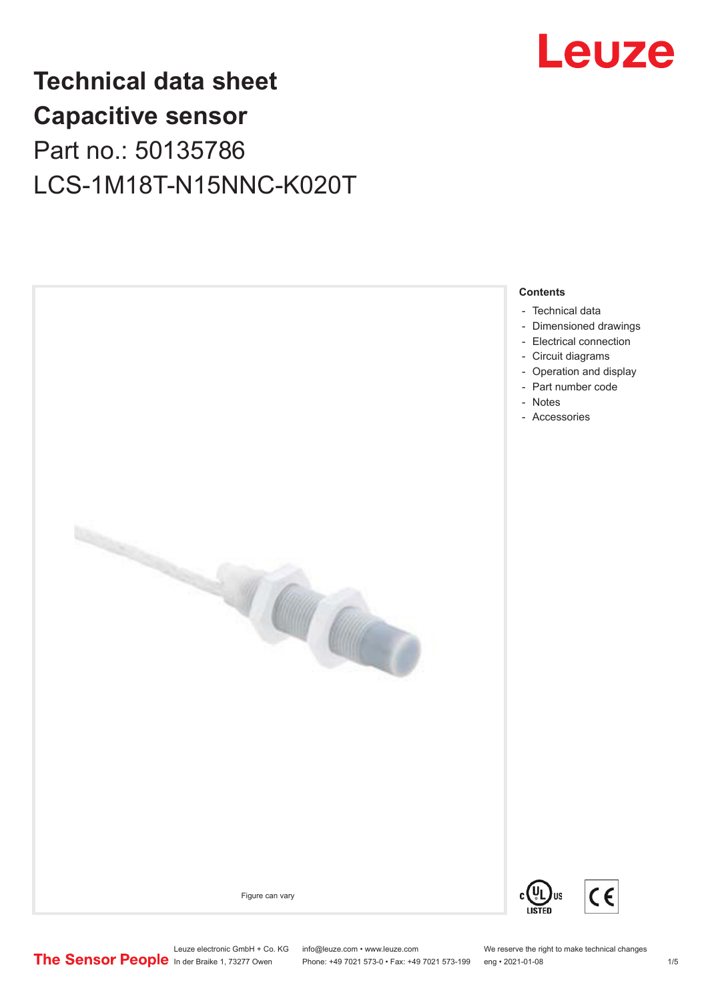

## **Technical data sheet Capacitive sensor** Part no.: 50135786 LCS-1M18T-N15NNC-K020T



- [Technical data](#page-1-0)
- [Dimensioned drawings](#page-2-0)
- [Electrical connection](#page-2-0)
- [Circuit diagrams](#page-3-0)
- [Operation and display](#page-3-0) [Part number code](#page-3-0)
- - [Notes](#page-4-0)
- [Accessories](#page-4-0)

Figure can vary



Leuze electronic GmbH + Co. KG info@leuze.com • www.leuze.com We reserve the right to make technical changes<br>
The Sensor People in der Braike 1, 73277 Owen Phone: +49 7021 573-0 • Fax: +49 7021 573-199 eng • 2021-01-08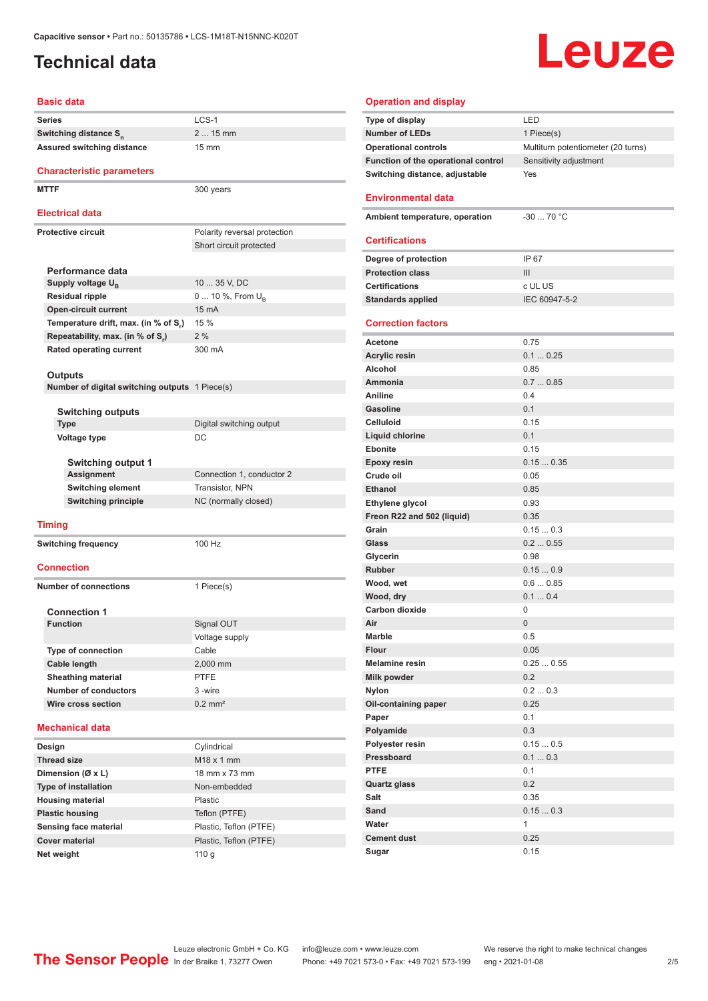### <span id="page-1-0"></span>**Technical data**

# **Leuze**

### **Basic data**

| Series                                                           | LCS-1                                                                |  |  |
|------------------------------------------------------------------|----------------------------------------------------------------------|--|--|
| Switching distance S <sub>n</sub>                                | 2  15 mm                                                             |  |  |
| <b>Assured switching distance</b>                                | $15 \text{ mm}$                                                      |  |  |
|                                                                  |                                                                      |  |  |
| <b>Characteristic parameters</b>                                 |                                                                      |  |  |
| <b>MTTF</b>                                                      | 300 years                                                            |  |  |
|                                                                  |                                                                      |  |  |
| <b>Electrical data</b>                                           |                                                                      |  |  |
| <b>Protective circuit</b>                                        | Polarity reversal protection                                         |  |  |
|                                                                  | Short circuit protected                                              |  |  |
|                                                                  |                                                                      |  |  |
| Performance data                                                 |                                                                      |  |  |
| Supply voltage U <sub>R</sub>                                    | 10  35 V, DC                                                         |  |  |
| <b>Residual ripple</b>                                           | 0  10 %, From U <sub>B</sub>                                         |  |  |
| <b>Open-circuit current</b>                                      | 15 mA                                                                |  |  |
| Temperature drift, max. (in % of S.)                             | 15 %                                                                 |  |  |
| Repeatability, max. (in % of S,)                                 | 2%                                                                   |  |  |
| Rated operating current                                          | 300 mA                                                               |  |  |
|                                                                  |                                                                      |  |  |
| <b>Outputs</b><br>Number of digital switching outputs 1 Piece(s) |                                                                      |  |  |
|                                                                  |                                                                      |  |  |
| <b>Switching outputs</b>                                         |                                                                      |  |  |
| <b>Type</b>                                                      | Digital switching output                                             |  |  |
| <b>Voltage type</b>                                              | DC                                                                   |  |  |
|                                                                  |                                                                      |  |  |
| <b>Switching output 1</b>                                        |                                                                      |  |  |
| Assignment                                                       | Connection 1, conductor 2<br>Transistor, NPN<br>NC (normally closed) |  |  |
| <b>Switching element</b>                                         |                                                                      |  |  |
| <b>Switching principle</b>                                       |                                                                      |  |  |
| <b>Timing</b>                                                    |                                                                      |  |  |
|                                                                  |                                                                      |  |  |
| <b>Switching frequency</b>                                       | 100 Hz                                                               |  |  |
| <b>Connection</b>                                                |                                                                      |  |  |
|                                                                  |                                                                      |  |  |
| <b>Number of connections</b>                                     | 1 Piece(s)                                                           |  |  |
| <b>Connection 1</b>                                              |                                                                      |  |  |
| <b>Function</b>                                                  | Signal OUT                                                           |  |  |
|                                                                  | Voltage supply                                                       |  |  |
| <b>Type of connection</b>                                        | Cable                                                                |  |  |
| Cable length                                                     | 2,000 mm                                                             |  |  |
| <b>Sheathing material</b>                                        | <b>PTFE</b>                                                          |  |  |
| <b>Number of conductors</b>                                      | 3 -wire                                                              |  |  |
| Wire cross section                                               | $0.2$ mm <sup>2</sup>                                                |  |  |
|                                                                  |                                                                      |  |  |
| <b>Mechanical data</b>                                           |                                                                      |  |  |
| Design                                                           | Cylindrical                                                          |  |  |
| <b>Thread size</b>                                               | M18 x 1 mm                                                           |  |  |
| Dimension (Ø x L)                                                | 18 mm x 73 mm                                                        |  |  |
| <b>Type of installation</b>                                      | Non-embedded                                                         |  |  |
| <b>Housing material</b>                                          | Plastic                                                              |  |  |
| <b>Plastic housing</b>                                           | Teflon (PTFE)                                                        |  |  |
| <b>Sensing face material</b>                                     | Plastic, Teflon (PTFE)                                               |  |  |
| <b>Cover material</b>                                            | Plastic, Teflon (PTFE)                                               |  |  |

| <b>Operation and display</b>                    |                                    |
|-------------------------------------------------|------------------------------------|
| Type of display                                 | LED                                |
| <b>Number of LEDs</b>                           | 1 Piece(s)                         |
| <b>Operational controls</b>                     | Multiturn potentiometer (20 turns) |
| Function of the operational control             | Sensitivity adjustment             |
| Switching distance, adjustable                  | Yes                                |
|                                                 |                                    |
| <b>Environmental data</b>                       |                                    |
| Ambient temperature, operation                  | $-30$ 70 °C                        |
| <b>Certifications</b>                           |                                    |
|                                                 |                                    |
| Degree of protection<br><b>Protection class</b> | IP 67<br>III                       |
| <b>Certifications</b>                           | c UL US                            |
| <b>Standards applied</b>                        | IEC 60947-5-2                      |
|                                                 |                                    |
| <b>Correction factors</b>                       |                                    |
| Acetone                                         | 0.75                               |
| <b>Acrylic resin</b>                            | 0.10.25                            |
| Alcohol                                         | 0.85                               |
| Ammonia                                         | 0.70.85                            |
| <b>Aniline</b>                                  | 0.4                                |
| <b>Gasoline</b>                                 | 0.1                                |
| Celluloid                                       | 0.15                               |
| <b>Liquid chlorine</b>                          | 0.1                                |
| <b>Ebonite</b>                                  | 0.15                               |
| <b>Epoxy resin</b>                              | 0.150.35                           |
| Crude oil                                       | 0.05                               |
| <b>Ethanol</b>                                  | 0.85                               |
| Ethylene glycol                                 | 0.93                               |
| Freon R22 and 502 (liquid)                      | 0.35                               |
| Grain                                           | 0.150.3                            |
| Glass                                           | 0.20.55                            |
| Glycerin                                        | 0.98                               |
| <b>Rubber</b>                                   | 0.150.9<br>0.60.85                 |
| Wood, wet<br>Wood, dry                          | 0.10.4                             |
| <b>Carbon dioxide</b>                           | 0                                  |
| Air                                             | $\overline{0}$                     |
| Marble                                          | 0.5                                |
| <b>Flour</b>                                    | 0.05                               |
| <b>Melamine resin</b>                           | 0.250.55                           |
| Milk powder                                     | 0.2                                |
| <b>Nylon</b>                                    | 0.20.3                             |
| Oil-containing paper                            | 0.25                               |
| Paper                                           | 0.1                                |
| Polyamide                                       | 0.3                                |
| Polyester resin                                 | 0.150.5                            |
| Pressboard                                      | 0.10.3                             |
| <b>PTFE</b>                                     | 0.1                                |
| <b>Quartz glass</b>                             | 0.2                                |
| Salt                                            | 0.35                               |
| Sand                                            | 0.150.3                            |
| Water                                           | 1                                  |
| <b>Cement dust</b>                              | 0.25                               |
| Sugar                                           | 0.15                               |

**Net weight** 110 g

ln der Braike 1, 73277 Owen Phone: +49 7021 573-0 • Fax: +49 7021 573-199 eng • 2021-01-08 2/5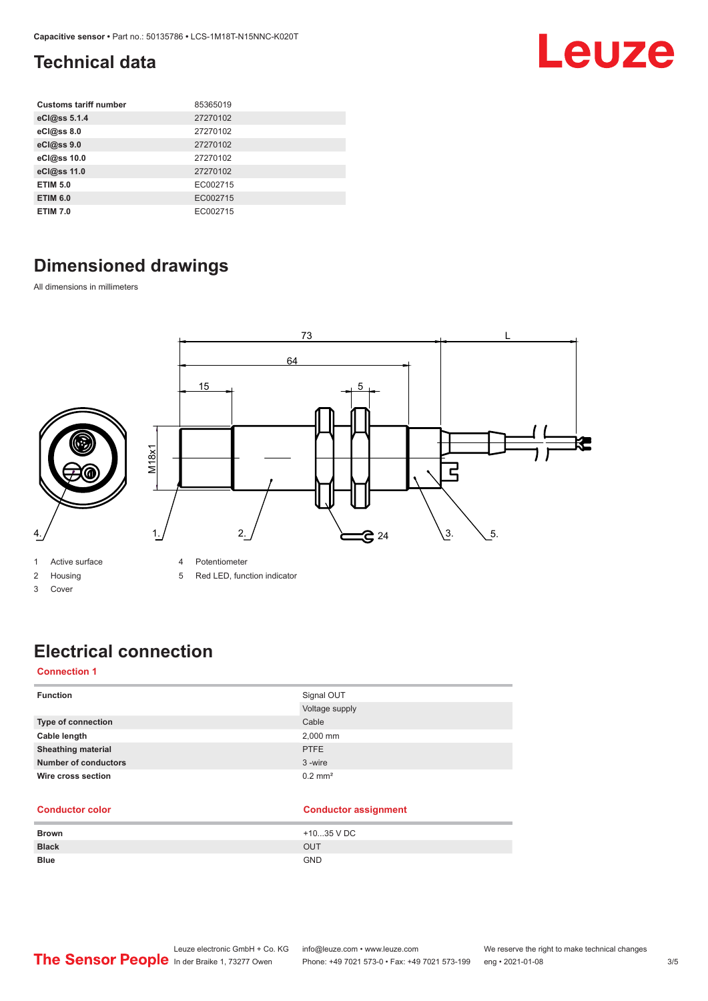### <span id="page-2-0"></span>**Technical data**

| <b>Customs tariff number</b> | 85365019 |
|------------------------------|----------|
| eCl@ss 5.1.4                 | 27270102 |
| eCl@ss 8.0                   | 27270102 |
| eCl@ss 9.0                   | 27270102 |
| eCl@ss 10.0                  | 27270102 |
| eCl@ss 11.0                  | 27270102 |
| <b>ETIM 5.0</b>              | EC002715 |
| <b>ETIM 6.0</b>              | EC002715 |
| <b>ETIM 7.0</b>              | EC002715 |

### **Dimensioned drawings**

All dimensions in millimeters



- 1 Active surface
- 2 Housing
- 3 Cover

4 Potentiometer

5 Red LED, function indicator

### **Electrical connection**

#### **Connection 1**

| <b>Function</b>             | Signal OUT<br>Voltage supply |
|-----------------------------|------------------------------|
| Type of connection          | Cable                        |
| Cable length                | 2,000 mm                     |
| <b>Sheathing material</b>   | <b>PTFE</b>                  |
| <b>Number of conductors</b> | 3-wire                       |
| Wire cross section          | $0.2$ mm <sup>2</sup>        |

#### **Conductor color Conductor assignment**

| <b>Brown</b> | +1035 V DC |
|--------------|------------|
| <b>Black</b> | <b>OUT</b> |
| <b>Blue</b>  | <b>GND</b> |

Leuze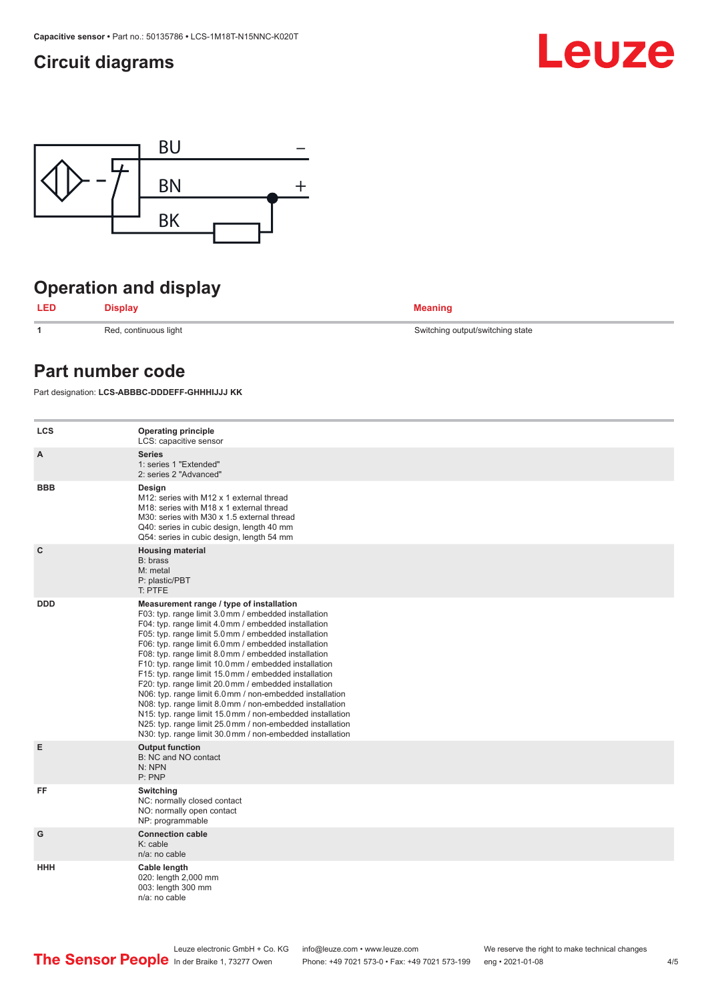### <span id="page-3-0"></span>**Circuit diagrams**





### **Operation and display**

**LED Display Meaning**

**1 1** Red, continuous light Switching output/switching state



### **Part number code**

Part designation: **LCS-ABBBC-DDDEFF-GHHHIJJJ KK**

| <b>LCS</b>   | <b>Operating principle</b><br>LCS: capacitive sensor                                                                                                                                                                                                                                                                                                                                                                                                                                                                                                                                                                                                                                                                                                                                                                       |
|--------------|----------------------------------------------------------------------------------------------------------------------------------------------------------------------------------------------------------------------------------------------------------------------------------------------------------------------------------------------------------------------------------------------------------------------------------------------------------------------------------------------------------------------------------------------------------------------------------------------------------------------------------------------------------------------------------------------------------------------------------------------------------------------------------------------------------------------------|
| A            | <b>Series</b><br>1: series 1 "Extended"<br>2: series 2 "Advanced"                                                                                                                                                                                                                                                                                                                                                                                                                                                                                                                                                                                                                                                                                                                                                          |
| <b>BBB</b>   | Design<br>M12: series with M12 x 1 external thread<br>M18: series with M18 x 1 external thread<br>M30: series with M30 x 1.5 external thread<br>Q40: series in cubic design, length 40 mm<br>Q54: series in cubic design, length 54 mm                                                                                                                                                                                                                                                                                                                                                                                                                                                                                                                                                                                     |
| $\mathbf{C}$ | <b>Housing material</b><br>B: brass<br>M: metal<br>P: plastic/PBT<br>T: PTFE                                                                                                                                                                                                                                                                                                                                                                                                                                                                                                                                                                                                                                                                                                                                               |
| <b>DDD</b>   | Measurement range / type of installation<br>F03: typ. range limit 3.0 mm / embedded installation<br>F04: typ. range limit 4.0 mm / embedded installation<br>F05: typ. range limit 5.0 mm / embedded installation<br>F06: typ. range limit 6.0 mm / embedded installation<br>F08: typ. range limit 8.0 mm / embedded installation<br>F10: typ. range limit 10.0 mm / embedded installation<br>F15: typ. range limit 15.0 mm / embedded installation<br>F20: typ. range limit 20.0 mm / embedded installation<br>N06: typ. range limit 6.0 mm / non-embedded installation<br>N08: typ. range limit 8.0 mm / non-embedded installation<br>N15: typ. range limit 15.0 mm / non-embedded installation<br>N25: typ. range limit 25.0 mm / non-embedded installation<br>N30: typ. range limit 30.0 mm / non-embedded installation |
| E            | <b>Output function</b><br>B: NC and NO contact<br>N: NPN<br>P: PNP                                                                                                                                                                                                                                                                                                                                                                                                                                                                                                                                                                                                                                                                                                                                                         |
| FF           | Switching<br>NC: normally closed contact<br>NO: normally open contact<br>NP: programmable                                                                                                                                                                                                                                                                                                                                                                                                                                                                                                                                                                                                                                                                                                                                  |
| G            | <b>Connection cable</b><br>K: cable<br>n/a: no cable                                                                                                                                                                                                                                                                                                                                                                                                                                                                                                                                                                                                                                                                                                                                                                       |
| HHH          | Cable length<br>020: length 2,000 mm<br>003: length 300 mm<br>$n/a$ : no cable                                                                                                                                                                                                                                                                                                                                                                                                                                                                                                                                                                                                                                                                                                                                             |